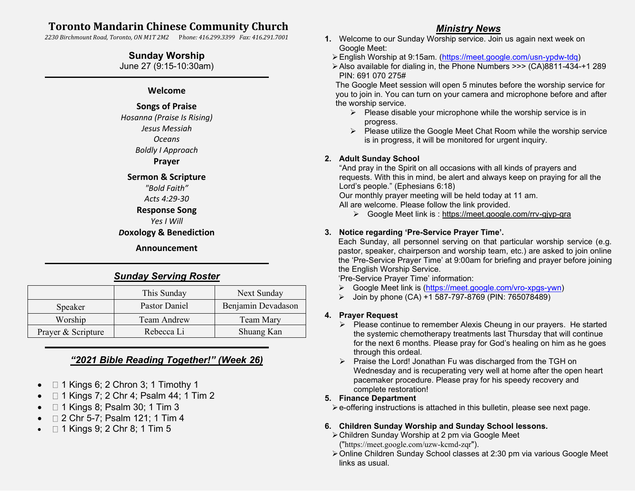# **Toronto Mandarin Chinese Community Church**

*2230 Birchmount Road, Toronto, ON M1T 2M2* P*hone: 416.299.3399 Fax: 416.291.7001*

## **Sunday Worship**

June 27 (9:15-10:30am)

### **Welcome**

## **Songs of Praise**

*Hosanna (Praise Is Rising) Jesus Messiah Oceans Boldly I Approach* **Prayer**

#### **Sermon & Scripture**

*"Bold Faith"*

# *Acts 4:29-30*

# **Response Song**

*Yes I Will*

### *D***oxology & Benediction**

**Announcement** ֦

# *Sunday Serving Roster*

|                    | This Sunday   | Next Sunday        |
|--------------------|---------------|--------------------|
| Speaker            | Pastor Daniel | Benjamin Devadason |
| Worship            | Team Andrew   | Team Mary          |
| Prayer & Scripture | Rebecca Li    | Shuang Kan         |

# *"2021 Bible Reading Together!" (Week 26)*

- $\Box$  1 Kings 6; 2 Chron 3; 1 Timothy 1
- □ 1 Kings 7; 2 Chr 4; Psalm 44; 1 Tim 2
- □ 1 Kings 8; Psalm 30; 1 Tim 3
- □ 2 Chr 5-7; Psalm 121; 1 Tim 4
- □ 1 Kings 9; 2 Chr 8; 1 Tim 5

## *Ministry News*

- **1.** Welcome to our Sunday Worship service. Join us again next week on Google Meet:
	- ➢English Worship at 9:15am. [\(https://meet.google.com/usn-ypdw-tdq\)](https://meet.google.com/usn-ypdw-tdq)
	- ➢Also available for dialing in, the Phone Numbers >>> (CA)8811-434-+1 289 PIN: 691 070 275#

The Google Meet session will open 5 minutes before the worship service for you to join in. You can turn on your camera and microphone before and after the worship service.

- $\triangleright$  Please disable your microphone while the worship service is in progress.
- ➢ Please utilize the Google Meet Chat Room while the worship service is in progress, it will be monitored for urgent inquiry.

### **2. Adult Sunday School**

"And pray in the Spirit on all occasions with all kinds of prayers and requests. With this in mind, be alert and always keep on praying for all the Lord's people." (Ephesians 6:18)

Our monthly prayer meeting will be held today at 11 am.

All are welcome. Please follow the link provided.

➢ Google Meet link is :<https://meet.google.com/rrv-gjyp-gra>

### **3. Notice regarding 'Pre-Service Prayer Time'.**

Each Sunday, all personnel serving on that particular worship service (e.g. pastor, speaker, chairperson and worship team, etc.) are asked to join online the 'Pre-Service Prayer Time' at 9:00am for briefing and prayer before joining the English Worship Service.

'Pre-Service Prayer Time' information:

- ➢ Google Meet link is [\(https://meet.google.com/vro-xpgs-ywn\)](https://meet.google.com/vro-xpgs-ywn)
- ➢ Join by phone (CA) +1 587-797-8769 (PIN: 765078489)

### **4. Prayer Request**

- ➢ Please continue to remember Alexis Cheung in our prayers. He started the systemic chemotherapy treatments last Thursday that will continue for the next 6 months. Please pray for God's healing on him as he goes through this ordeal.
- ➢ Praise the Lord! Jonathan Fu was discharged from the TGH on Wednesday and is recuperating very well at home after the open heart pacemaker procedure. Please pray for his speedy recovery and complete restoration!

### **5. Finance Department**

➢e-offering instructions is attached in this bulletin, please see next page.

### **6. Children Sunday Worship and Sunday School lessons.**

- ➢Children Sunday Worship at 2 pm via Google Meet ("<https://meet.google.com/uzw-kcmd-zqr>").
- ➢Online Children Sunday School classes at 2:30 pm via various Google Meet links as usual.